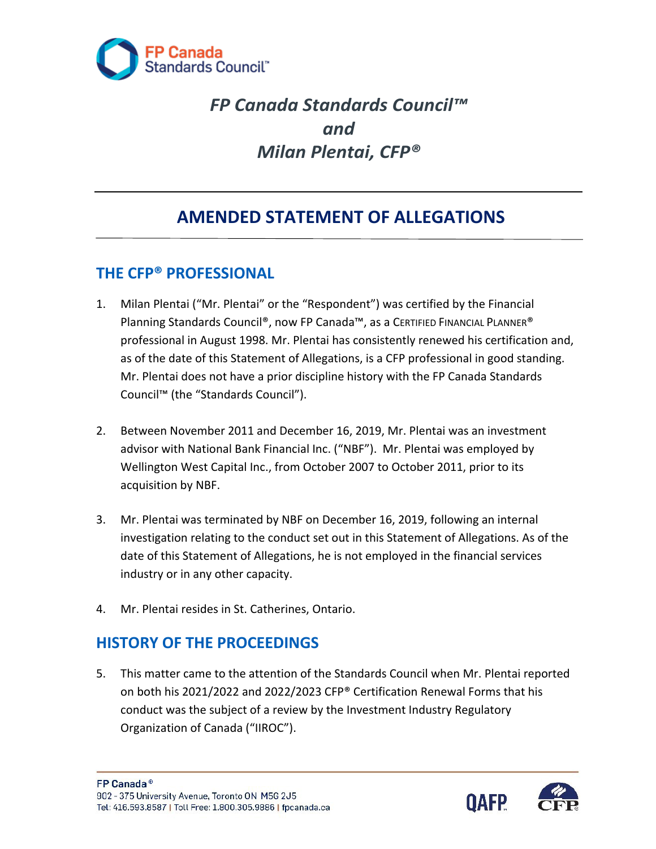

# *FP Canada Standards Council™ and Milan Plentai, CFP®*

## **AMENDED STATEMENT OF ALLEGATIONS**

#### **THE CFP® PROFESSIONAL**

- professional in August 1998. Mr. Plentai has consistently renewed his certification and, Mr. Plentai does not have a prior discipline history with the FP Canada Standards 1. Milan Plentai ("Mr. Plentai" or the "Respondent") was certified by the Financial Planning Standards Council®, now FP Canada™, as a CERTIFIED FINANCIAL PLANNER® as of the date of this Statement of Allegations, is a CFP professional in good standing. Council™ (the "Standards Council").
- 2. Between November 2011 and December 16, 2019, Mr. Plentai was an investment advisor with National Bank Financial Inc. ("NBF"). Mr. Plentai was employed by Wellington West Capital Inc., from October 2007 to October 2011, prior to its acquisition by NBF.
- date of this Statement of Allegations, he is not employed in the financial services 3. Mr. Plentai was terminated by NBF on December 16, 2019, following an internal investigation relating to the conduct set out in this Statement of Allegations. As of the industry or in any other capacity.
- 4. Mr. Plentai resides in St. Catherines, Ontario.

#### **HISTORY OF THE PROCEEDINGS**

 5. This matter came to the attention of the Standards Council when Mr. Plentai reported on both his 2021/2022 and 2022/2023 CFP® Certification Renewal Forms that his conduct was the subject of a review by the Investment Industry Regulatory Organization of Canada ("IIROC").

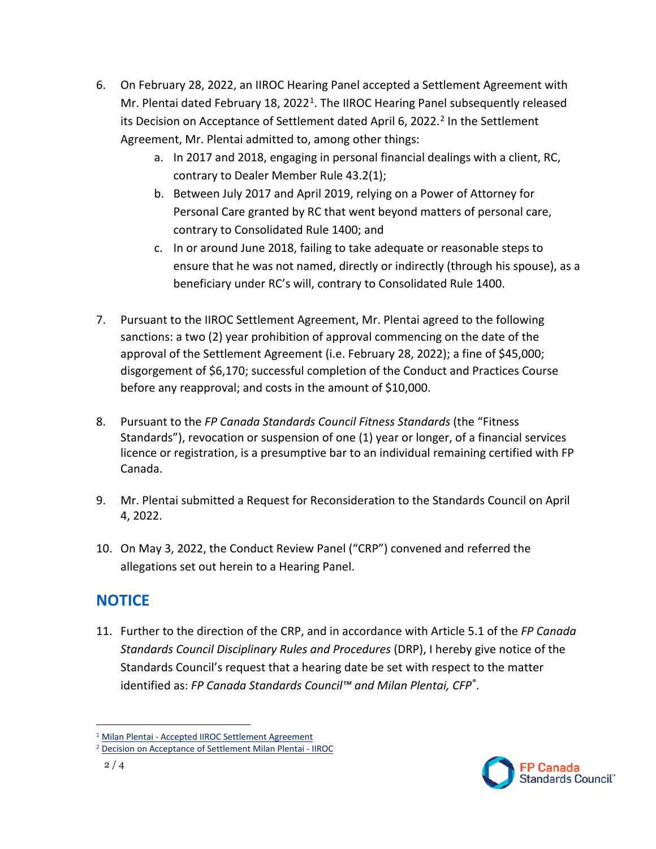- Agreement, Mr. Plentai admitted to, among other things: 6. On February 28, 2022, an IIROC Hearing Panel accepted a Settlement Agreement with Mr. Plentai dated February [1](#page-1-0)8, 2022<sup>1</sup>. The IIROC Hearing Panel subsequently released its Decision on Acceptance of Settlement dated April 6, 2022. [2](#page-1-1) In the Settlement
	- a. In 2017 and 2018, engaging in personal financial dealings with a client, RC, contrary to Dealer Member Rule 43.2(1);
	- b. Between July 2017 and April 2019, relying on a Power of Attorney for Personal Care granted by RC that went beyond matters of personal care, contrary to Consolidated Rule 1400; and
	- c. In or around June 2018, failing to take adequate or reasonable steps to ensure that he was not named, directly or indirectly (through his spouse), as a beneficiary under RC's will, contrary to Consolidated Rule 1400.
- 7. Pursuant to the IIROC Settlement Agreement, Mr. Plentai agreed to the following sanctions: a two (2) year prohibition of approval commencing on the date of the approval of the Settlement Agreement (i.e. February 28, 2022); a fine of \$45,000; disgorgement of \$6,170; successful completion of the Conduct and Practices Course before any reapproval; and costs in the amount of \$10,000.
- 8. Pursuant to the *FP Canada Standards Council Fitness Standards* (the "Fitness Standards"), revocation or suspension of one (1) year or longer, of a financial services licence or registration, is a presumptive bar to an individual remaining certified with FP Canada.
- 9. Mr. Plentai submitted a Request for Reconsideration to the Standards Council on April 4, 2022.
- 10. On May 3, 2022, the Conduct Review Panel ("CRP") convened and referred the allegations set out herein to a Hearing Panel.

#### **NOTICE**

11. Further to the direction of the CRP, and in accordance with Article 5.1 of the *FP Canada Standards Council Disciplinary Rules and Procedures* (DRP), I hereby give notice of the Standards Council's request that a hearing date be set with respect to the matter identified as: *FP Canada Standards Council™ and Milan Plentai, CFP®*.



<span id="page-1-1"></span><span id="page-1-0"></span><sup>&</sup>lt;sup>1</sup> Milan Plentai - Accepted IIROC Settlement Agreement<br><sup>2</sup> [Decision on Acceptance of Settlement Milan Plentai -](https://www.iiroc.ca/sites/default/files/2022-04/2022IIROC04-Re-Plentai.pdf) IIROC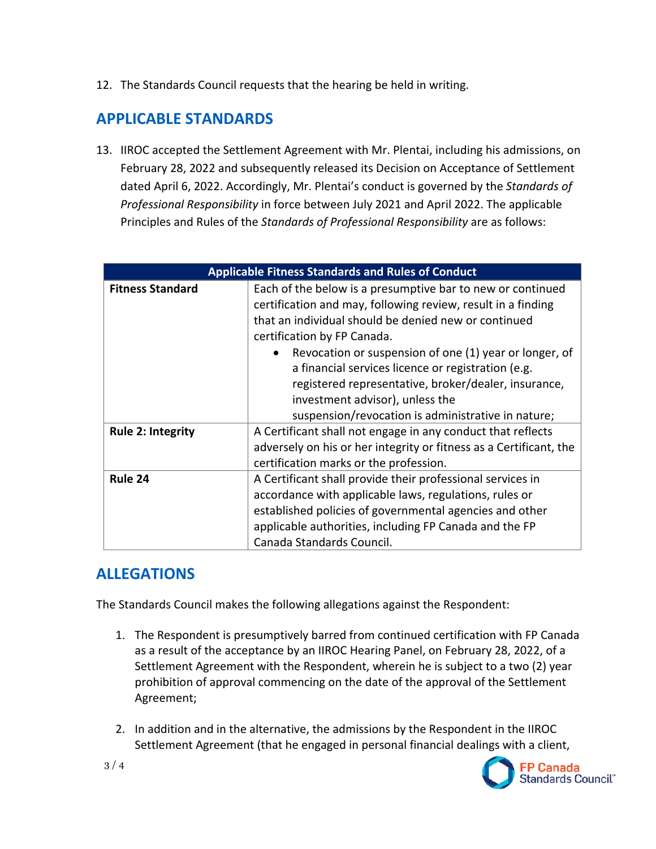12. The Standards Council requests that the hearing be held in writing.

### **APPLICABLE STANDARDS**

 13. IIROC accepted the Settlement Agreement with Mr. Plentai, including his admissions, on Principles and Rules of the *Standards of Professional Responsibility* are as follows: February 28, 2022 and subsequently released its Decision on Acceptance of Settlement dated April 6, 2022. Accordingly, Mr. Plentai's conduct is governed by the *Standards of Professional Responsibility* in force between July 2021 and April 2022. The applicable

| <b>Applicable Fitness Standards and Rules of Conduct</b> |                                                                                                                                                                                                                                                                                                                                                                                                                                                                                    |
|----------------------------------------------------------|------------------------------------------------------------------------------------------------------------------------------------------------------------------------------------------------------------------------------------------------------------------------------------------------------------------------------------------------------------------------------------------------------------------------------------------------------------------------------------|
| <b>Fitness Standard</b>                                  | Each of the below is a presumptive bar to new or continued<br>certification and may, following review, result in a finding<br>that an individual should be denied new or continued<br>certification by FP Canada.<br>Revocation or suspension of one (1) year or longer, of<br>a financial services licence or registration (e.g.<br>registered representative, broker/dealer, insurance,<br>investment advisor), unless the<br>suspension/revocation is administrative in nature; |
| <b>Rule 2: Integrity</b>                                 | A Certificant shall not engage in any conduct that reflects<br>adversely on his or her integrity or fitness as a Certificant, the<br>certification marks or the profession.                                                                                                                                                                                                                                                                                                        |
| Rule 24                                                  | A Certificant shall provide their professional services in<br>accordance with applicable laws, regulations, rules or<br>established policies of governmental agencies and other<br>applicable authorities, including FP Canada and the FP<br>Canada Standards Council.                                                                                                                                                                                                             |

#### **ALLEGATIONS**

The Standards Council makes the following allegations against the Respondent:

- as a result of the acceptance by an IIROC Hearing Panel, on February 28, 2022, of a Settlement Agreement with the Respondent, wherein he is subject to a two (2) year Agreement; 1. The Respondent is presumptively barred from continued certification with FP Canada prohibition of approval commencing on the date of the approval of the Settlement
- Settlement Agreement (that he engaged in personal financial dealings with a client, 2. In addition and in the alternative, the admissions by the Respondent in the IIROC